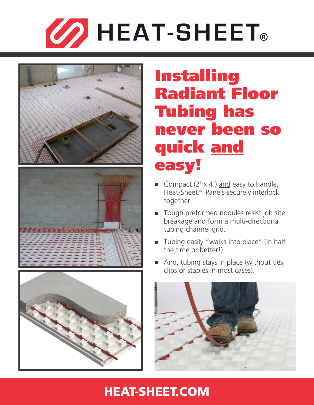



# Installing Radiant Floor Tubing has never been so quick and easy!

- Gompact  $(2' \times 4')$  and easy to handle, Heat-Sheet<sup>®</sup> Panels securely interlock together.
- Tough preformed nodules resist job site breakage and form a multi-directional tubing channel grid.
- $\blacksquare$  Tubing easily "walks into place" (in half the time or better!).
- And, tubing stays in place (without ties, clips or staples in most cases).



## [HEAT-SHEET.COM](http://heat-sheet.com)